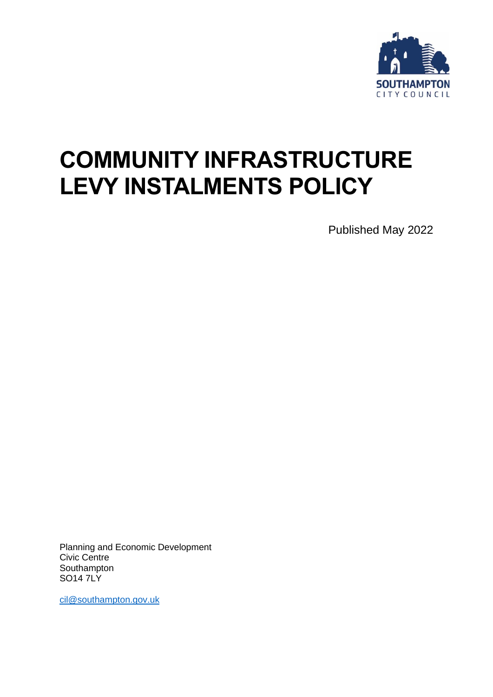

## **COMMUNITY INFRASTRUCTURE LEVY INSTALMENTS POLICY**

Published May 2022

Planning and Economic Development Civic Centre Southampton SO14 7LY

[cil@southampton.gov.uk](mailto:cil@southampton.gov.uk)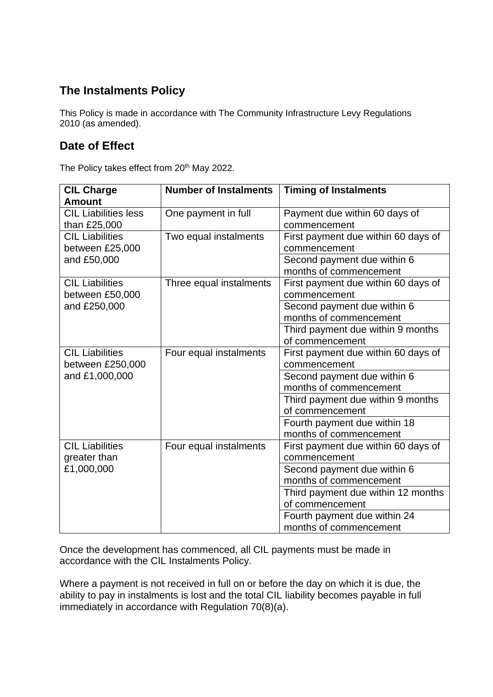## **The Instalments Policy**

This Policy is made in accordance with The Community Infrastructure Levy Regulations 2010 (as amended).

## **Date of Effect**

The Policy takes effect from 20<sup>th</sup> May 2022.

| <b>CIL Charge</b><br><b>Amount</b>                        | <b>Number of Instalments</b> | <b>Timing of Instalments</b>                           |
|-----------------------------------------------------------|------------------------------|--------------------------------------------------------|
| <b>CIL Liabilities less</b>                               | One payment in full          | Payment due within 60 days of                          |
| than £25,000                                              |                              | commencement                                           |
| <b>CIL Liabilities</b>                                    | Two equal instalments        | First payment due within 60 days of                    |
| between £25,000                                           |                              | commencement                                           |
| and £50,000                                               |                              | Second payment due within 6                            |
|                                                           |                              | months of commencement                                 |
| <b>CIL Liabilities</b><br>between £50,000<br>and £250,000 | Three equal instalments      | First payment due within 60 days of<br>commencement    |
|                                                           |                              | Second payment due within 6<br>months of commencement  |
|                                                           |                              | Third payment due within 9 months                      |
|                                                           |                              | of commencement                                        |
| <b>CIL Liabilities</b>                                    | Four equal instalments       | First payment due within 60 days of                    |
| between £250,000                                          |                              | commencement                                           |
| and £1,000,000                                            |                              | Second payment due within 6                            |
|                                                           |                              | months of commencement                                 |
|                                                           |                              | Third payment due within 9 months<br>of commencement   |
|                                                           |                              |                                                        |
|                                                           |                              | Fourth payment due within 18<br>months of commencement |
| <b>CIL Liabilities</b>                                    | Four equal instalments       | First payment due within 60 days of                    |
| greater than                                              |                              | commencement                                           |
| £1,000,000                                                |                              | Second payment due within 6                            |
|                                                           |                              | months of commencement                                 |
|                                                           |                              | Third payment due within 12 months                     |
|                                                           |                              | of commencement                                        |
|                                                           |                              | Fourth payment due within 24                           |
|                                                           |                              | months of commencement                                 |

Once the development has commenced, all CIL payments must be made in accordance with the CIL Instalments Policy.

Where a payment is not received in full on or before the day on which it is due, the ability to pay in instalments is lost and the total CIL liability becomes payable in full immediately in accordance with Regulation 70(8)(a).